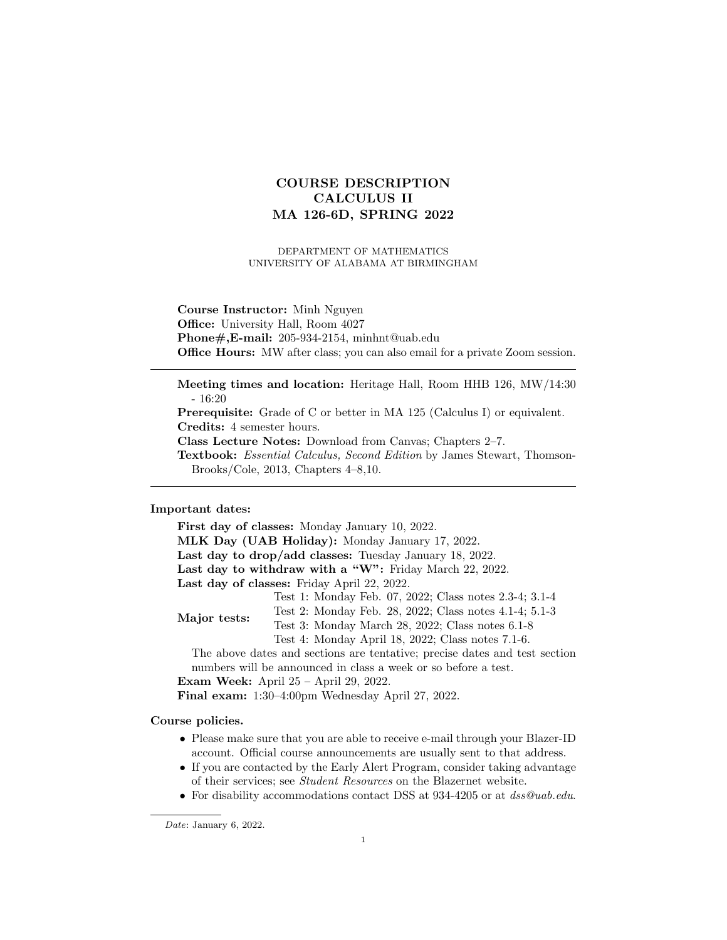# COURSE DESCRIPTION CALCULUS II MA 126-6D, SPRING 2022

DEPARTMENT OF MATHEMATICS UNIVERSITY OF ALABAMA AT BIRMINGHAM

Course Instructor: Minh Nguyen Office: University Hall, Room 4027 Phone#,E-mail: 205-934-2154, minhnt@uab.edu Office Hours: MW after class; you can also email for a private Zoom session.

Meeting times and location: Heritage Hall, Room HHB 126, MW/14:30 - 16:20

Prerequisite: Grade of C or better in MA 125 (Calculus I) or equivalent. Credits: 4 semester hours.

Class Lecture Notes: Download from Canvas; Chapters 2–7.

Textbook: Essential Calculus, Second Edition by James Stewart, Thomson-Brooks/Cole, 2013, Chapters 4–8,10.

# Important dates:

First day of classes: Monday January 10, 2022. MLK Day (UAB Holiday): Monday January 17, 2022. Last day to drop/add classes: Tuesday January 18, 2022. Last day to withdraw with a "W": Friday March 22, 2022. Last day of classes: Friday April 22, 2022. Major tests: Test 1: Monday Feb. 07, 2022; Class notes 2.3-4; 3.1-4 Test 2: Monday Feb. 28, 2022; Class notes 4.1-4; 5.1-3 Test 3: Monday March 28, 2022; Class notes 6.1-8 Test 4: Monday April 18, 2022; Class notes 7.1-6. The above dates and sections are tentative; precise dates and test section numbers will be announced in class a week or so before a test. Exam Week: April 25 – April 29, 2022. Final exam: 1:30–4:00pm Wednesday April 27, 2022.

Course policies.

- Please make sure that you are able to receive e-mail through your Blazer-ID account. Official course announcements are usually sent to that address.
- If you are contacted by the Early Alert Program, consider taking advantage of their services; see Student Resources on the Blazernet website.
- For disability accommodations contact DSS at 934-4205 or at  $dss@uab.edu$ .

Date: January 6, 2022.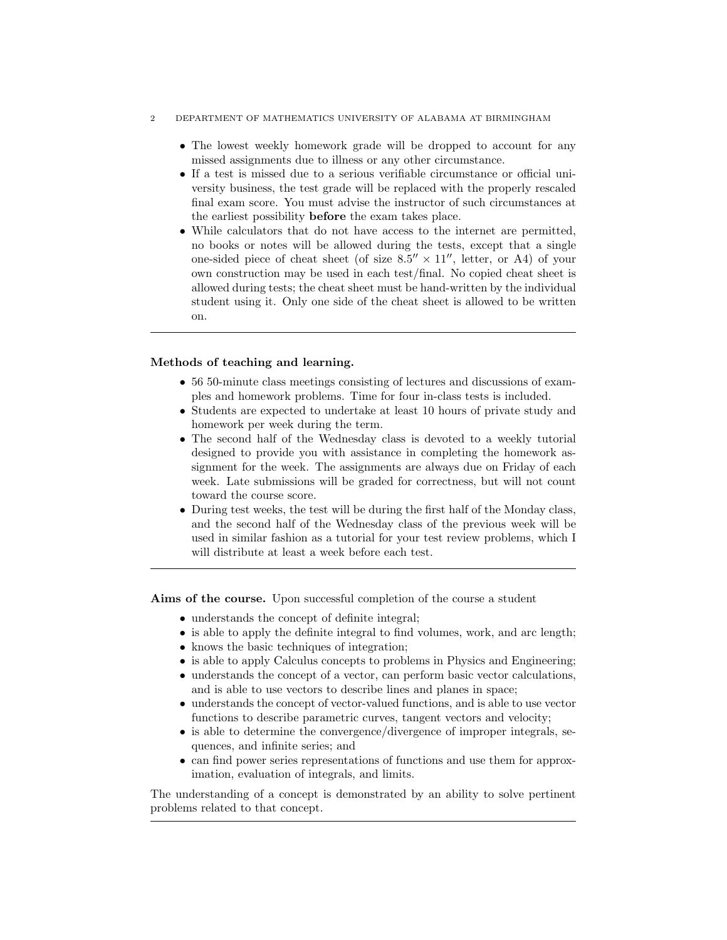#### 2 DEPARTMENT OF MATHEMATICS UNIVERSITY OF ALABAMA AT BIRMINGHAM

- The lowest weekly homework grade will be dropped to account for any missed assignments due to illness or any other circumstance.
- If a test is missed due to a serious verifiable circumstance or official university business, the test grade will be replaced with the properly rescaled final exam score. You must advise the instructor of such circumstances at the earliest possibility before the exam takes place.
- While calculators that do not have access to the internet are permitted, no books or notes will be allowed during the tests, except that a single one-sided piece of cheat sheet (of size  $8.5'' \times 11''$ , letter, or A4) of your own construction may be used in each test/final. No copied cheat sheet is allowed during tests; the cheat sheet must be hand-written by the individual student using it. Only one side of the cheat sheet is allowed to be written on.

## Methods of teaching and learning.

- 56 50-minute class meetings consisting of lectures and discussions of examples and homework problems. Time for four in-class tests is included.
- Students are expected to undertake at least 10 hours of private study and homework per week during the term.
- The second half of the Wednesday class is devoted to a weekly tutorial designed to provide you with assistance in completing the homework assignment for the week. The assignments are always due on Friday of each week. Late submissions will be graded for correctness, but will not count toward the course score.
- During test weeks, the test will be during the first half of the Monday class, and the second half of the Wednesday class of the previous week will be used in similar fashion as a tutorial for your test review problems, which I will distribute at least a week before each test.

Aims of the course. Upon successful completion of the course a student

- understands the concept of definite integral;
- is able to apply the definite integral to find volumes, work, and arc length;
- knows the basic techniques of integration;
- is able to apply Calculus concepts to problems in Physics and Engineering;
- understands the concept of a vector, can perform basic vector calculations, and is able to use vectors to describe lines and planes in space;
- understands the concept of vector-valued functions, and is able to use vector functions to describe parametric curves, tangent vectors and velocity;
- is able to determine the convergence/divergence of improper integrals, sequences, and infinite series; and
- can find power series representations of functions and use them for approximation, evaluation of integrals, and limits.

The understanding of a concept is demonstrated by an ability to solve pertinent problems related to that concept.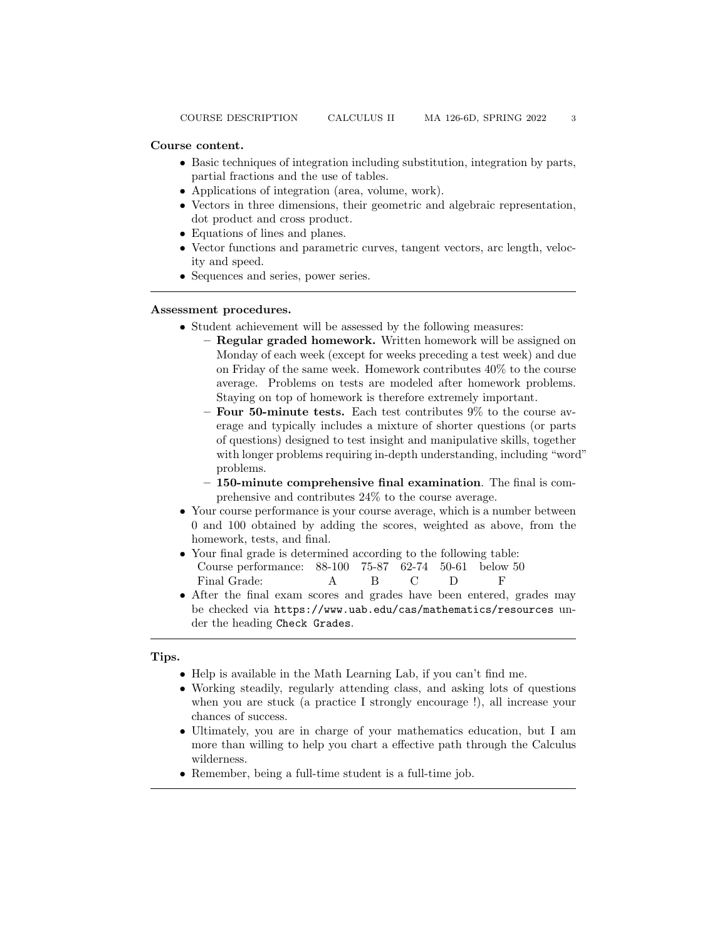- Basic techniques of integration including substitution, integration by parts, partial fractions and the use of tables.
- Applications of integration (area, volume, work).
- Vectors in three dimensions, their geometric and algebraic representation, dot product and cross product.
- Equations of lines and planes.
- Vector functions and parametric curves, tangent vectors, arc length, velocity and speed.
- Sequences and series, power series.

## Assessment procedures.

- Student achievement will be assessed by the following measures:
	- Regular graded homework. Written homework will be assigned on Monday of each week (except for weeks preceding a test week) and due on Friday of the same week. Homework contributes 40% to the course average. Problems on tests are modeled after homework problems. Staying on top of homework is therefore extremely important.
	- $-$  Four 50-minute tests. Each test contributes  $9\%$  to the course average and typically includes a mixture of shorter questions (or parts of questions) designed to test insight and manipulative skills, together with longer problems requiring in-depth understanding, including "word" problems.
	- 150-minute comprehensive final examination. The final is comprehensive and contributes 24% to the course average.
- Your course performance is your course average, which is a number between 0 and 100 obtained by adding the scores, weighted as above, from the homework, tests, and final.
- Your final grade is determined according to the following table: Course performance: 88-100 75-87 62-74 50-61 below 50 Final Grade: A B C D F
- After the final exam scores and grades have been entered, grades may be checked via https://www.uab.edu/cas/mathematics/resources under the heading Check Grades.

# Tips.

- Help is available in the Math Learning Lab, if you can't find me.
- Working steadily, regularly attending class, and asking lots of questions when you are stuck (a practice I strongly encourage !), all increase your chances of success.
- Ultimately, you are in charge of your mathematics education, but I am more than willing to help you chart a effective path through the Calculus wilderness.
- Remember, being a full-time student is a full-time job.